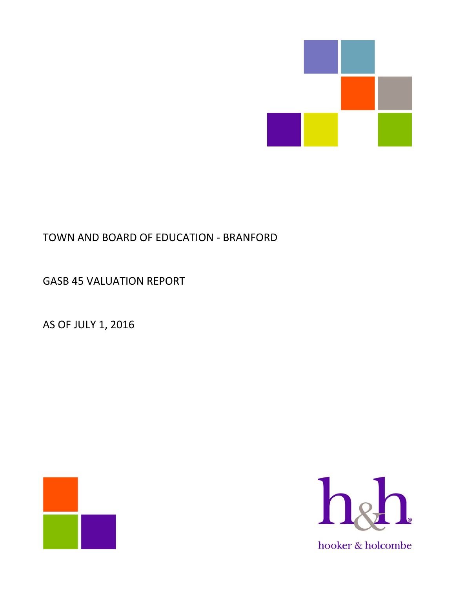

# TOWN AND BOARD OF EDUCATION ‐ BRANFORD

GASB 45 VALUATION REPORT

AS OF JULY 1, 2016



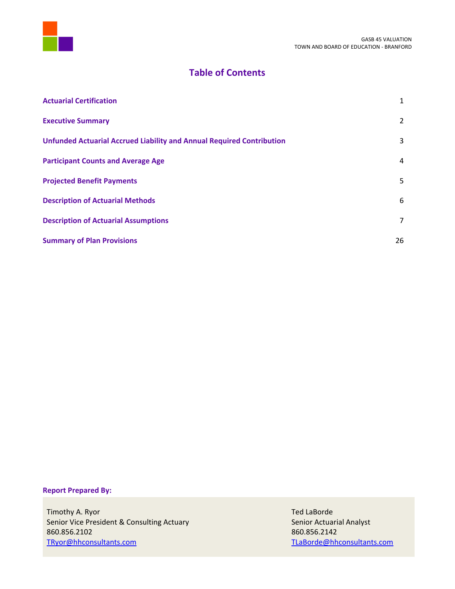

## **Table of Contents**

| <b>Actuarial Certification</b>                                               | $\mathbf{1}$   |
|------------------------------------------------------------------------------|----------------|
| <b>Executive Summary</b>                                                     | $\overline{2}$ |
| <b>Unfunded Actuarial Accrued Liability and Annual Required Contribution</b> | 3              |
| <b>Participant Counts and Average Age</b>                                    | 4              |
| <b>Projected Benefit Payments</b>                                            | 5              |
| <b>Description of Actuarial Methods</b>                                      | 6              |
| <b>Description of Actuarial Assumptions</b>                                  | $\overline{7}$ |
| <b>Summary of Plan Provisions</b>                                            | 26             |

## **Report Prepared By:**

Timothy A. Ryor Ted LaBorde Senior Vice President & Consulting Actuary Senior Actuarial Analyst 860.856.2102 860.856.2142 TRyor@hhconsultants.com TLaBorde@hhconsultants.com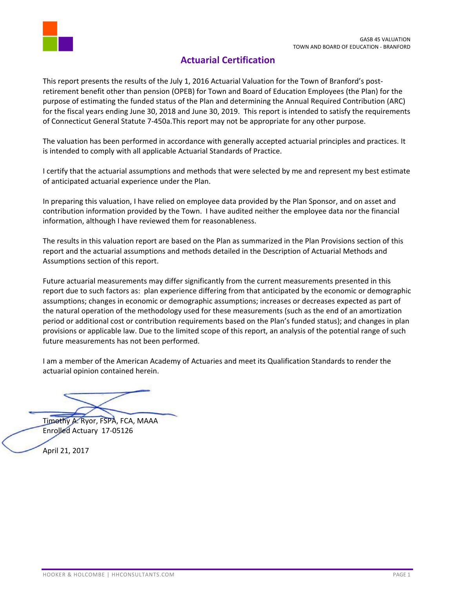

## **Actuarial Certification**

This report presents the results of the July 1, 2016 Actuarial Valuation for the Town of Branford's post‐ retirement benefit other than pension (OPEB) for Town and Board of Education Employees (the Plan) for the purpose of estimating the funded status of the Plan and determining the Annual Required Contribution (ARC) for the fiscal years ending June 30, 2018 and June 30, 2019. This report is intended to satisfy the requirements of Connecticut General Statute 7‐450a.This report may not be appropriate for any other purpose.

The valuation has been performed in accordance with generally accepted actuarial principles and practices. It is intended to comply with all applicable Actuarial Standards of Practice.

I certify that the actuarial assumptions and methods that were selected by me and represent my best estimate of anticipated actuarial experience under the Plan.

In preparing this valuation, I have relied on employee data provided by the Plan Sponsor, and on asset and contribution information provided by the Town. I have audited neither the employee data nor the financial information, although I have reviewed them for reasonableness.

The results in this valuation report are based on the Plan as summarized in the Plan Provisions section of this report and the actuarial assumptions and methods detailed in the Description of Actuarial Methods and Assumptions section of this report.

Future actuarial measurements may differ significantly from the current measurements presented in this report due to such factors as: plan experience differing from that anticipated by the economic or demographic assumptions; changes in economic or demographic assumptions; increases or decreases expected as part of the natural operation of the methodology used for these measurements (such as the end of an amortization period or additional cost or contribution requirements based on the Plan's funded status); and changes in plan provisions or applicable law. Due to the limited scope of this report, an analysis of the potential range of such future measurements has not been performed.

I am a member of the American Academy of Actuaries and meet its Qualification Standards to render the actuarial opinion contained herein.

Timothy A. Ryor, FSPA, FCA, MAAA Enrolled Actuary 17‐05126

April 21, 2017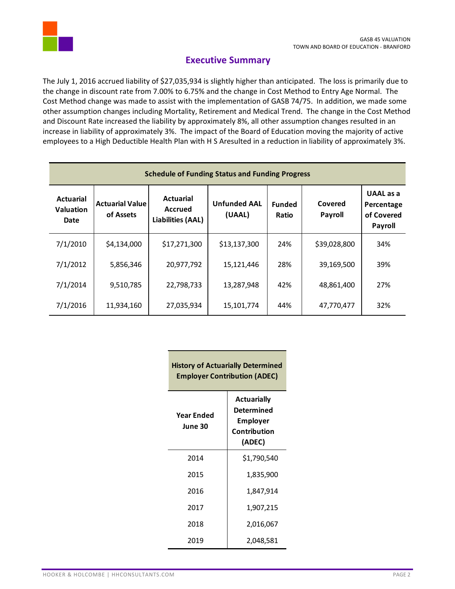

## **Executive Summary**

The July 1, 2016 accrued liability of \$27,035,934 is slightly higher than anticipated. The loss is primarily due to the change in discount rate from 7.00% to 6.75% and the change in Cost Method to Entry Age Normal. The Cost Method change was made to assist with the implementation of GASB 74/75. In addition, we made some other assumption changes including Mortality, Retirement and Medical Trend. The change in the Cost Method and Discount Rate increased the liability by approximately 8%, all other assumption changes resulted in an increase in liability of approximately 3%. The impact of the Board of Education moving the majority of active employees to a High Deductible Health Plan with H S Aresulted in a reduction in liability of approximately 3%.

| <b>Schedule of Funding Status and Funding Progress</b> |                                     |                                                         |                               |                        |                    |                                                                |
|--------------------------------------------------------|-------------------------------------|---------------------------------------------------------|-------------------------------|------------------------|--------------------|----------------------------------------------------------------|
| <b>Actuarial</b><br><b>Valuation</b><br>Date           | <b>Actuarial Value</b><br>of Assets | <b>Actuarial</b><br>Accrued<br><b>Liabilities (AAL)</b> | <b>Unfunded AAL</b><br>(UAAL) | <b>Funded</b><br>Ratio | Covered<br>Payroll | <b>UAAL</b> as a<br>Percentage<br>of Covered<br><b>Payroll</b> |
| 7/1/2010                                               | \$4,134,000                         | \$17,271,300                                            | \$13,137,300                  | 24%                    | \$39,028,800       | 34%                                                            |
| 7/1/2012                                               | 5,856,346                           | 20,977,792                                              | 15,121,446                    | 28%                    | 39,169,500         | 39%                                                            |
| 7/1/2014                                               | 9,510,785                           | 22,798,733                                              | 13,287,948                    | 42%                    | 48,861,400         | 27%                                                            |
| 7/1/2016                                               | 11,934,160                          | 27,035,934                                              | 15,101,774                    | 44%                    | 47,770,477         | 32%                                                            |

| <b>History of Actuarially Determined</b><br><b>Employer Contribution (ADEC)</b> |                                                                               |  |
|---------------------------------------------------------------------------------|-------------------------------------------------------------------------------|--|
| Year Ended<br>June 30                                                           | <b>Actuarially</b><br>Determined<br><b>Employer</b><br>Contribution<br>(ADEC) |  |
| 2014                                                                            | \$1,790,540                                                                   |  |
| 2015                                                                            | 1,835,900                                                                     |  |
| 2016                                                                            | 1,847,914                                                                     |  |
| 2017                                                                            | 1,907,215                                                                     |  |
| 2018                                                                            | 2,016,067                                                                     |  |
| 2019                                                                            | 2,048,581                                                                     |  |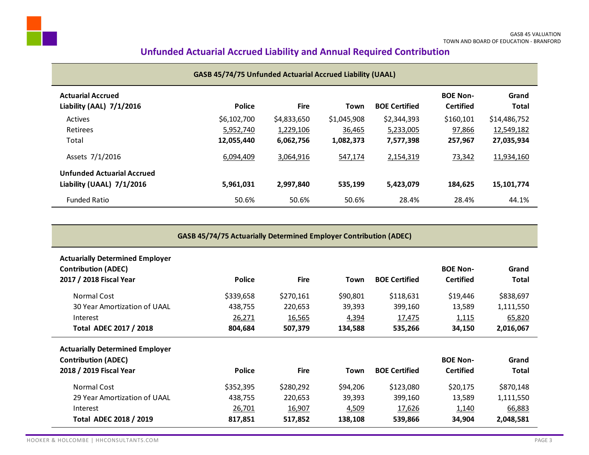## **Unfunded Actuarial Accrued Liability and Annual Required Contribution**

|                                                                | <b>GASB 45/74/75 Unfunded Actuarial Accrued Liability (UAAL)</b> |             |             |                      |                                     |                       |
|----------------------------------------------------------------|------------------------------------------------------------------|-------------|-------------|----------------------|-------------------------------------|-----------------------|
| <b>Actuarial Accrued</b><br>Liability (AAL) 7/1/2016           | <b>Police</b>                                                    | <b>Fire</b> | Town        | <b>BOE Certified</b> | <b>BOE Non-</b><br><b>Certified</b> | Grand<br><b>Total</b> |
| Actives                                                        | \$6,102,700                                                      | \$4,833,650 | \$1,045,908 | \$2,344,393          | \$160,101                           | \$14,486,752          |
| Retirees                                                       | 5,952,740                                                        | 1,229,106   | 36,465      | 5,233,005            | 97,866                              | 12,549,182            |
| Total                                                          | 12,055,440                                                       | 6,062,756   | 1,082,373   | 7,577,398            | 257,967                             | 27,035,934            |
| Assets 7/1/2016                                                | 6.094.409                                                        | 3,064,916   | 547,174     | 2,154,319            | 73,342                              | 11,934,160            |
| <b>Unfunded Actuarial Accrued</b><br>Liability (UAAL) 7/1/2016 | 5,961,031                                                        | 2,997,840   | 535,199     | 5,423,079            | 184.625                             | 15,101,774            |
| <b>Funded Ratio</b>                                            | 50.6%                                                            | 50.6%       | 50.6%       | 28.4%                | 28.4%                               | 44.1%                 |

| <b>GASB 45/74/75 Actuarially Determined Employer Contribution (ADEC)</b>                        |               |               |          |                      |                                     |                       |
|-------------------------------------------------------------------------------------------------|---------------|---------------|----------|----------------------|-------------------------------------|-----------------------|
| <b>Actuarially Determined Employer</b><br><b>Contribution (ADEC)</b><br>2017 / 2018 Fiscal Year | Police        | <b>Fire</b>   | Town     | <b>BOE Certified</b> | <b>BOE Non-</b><br><b>Certified</b> | Grand<br><b>Total</b> |
| Normal Cost                                                                                     | \$339,658     | \$270,161     | \$90,801 | \$118,631            | \$19,446                            | \$838,697             |
| 30 Year Amortization of UAAL                                                                    | 438,755       | 220,653       | 39,393   | 399,160              | 13,589                              | 1,111,550             |
| Interest                                                                                        | 26,271        | <u>16,565</u> | 4,394    | 17,475               | 1,115                               | 65,820                |
| <b>Total ADEC 2017 / 2018</b>                                                                   | 804,684       | 507,379       | 134,588  | 535,266              | 34,150                              | 2,016,067             |
| <b>Actuarially Determined Employer</b>                                                          |               |               |          |                      |                                     |                       |
| <b>Contribution (ADEC)</b>                                                                      |               |               |          |                      | <b>BOE Non-</b>                     | Grand                 |
| 2018 / 2019 Fiscal Year                                                                         | <b>Police</b> | <b>Fire</b>   | Town     | <b>BOE Certified</b> | <b>Certified</b>                    | Total                 |
| Normal Cost                                                                                     | \$352,395     | \$280,292     | \$94,206 | \$123,080            | \$20,175                            | \$870,148             |
| 29 Year Amortization of UAAL                                                                    | 438,755       | 220,653       | 39,393   | 399,160              | 13,589                              | 1,111,550             |
| Interest                                                                                        | 26,701        | 16,907        | 4,509    | 17,626               | 1,140                               | 66,883                |
| <b>Total ADEC 2018 / 2019</b>                                                                   | 817,851       | 517,852       | 138,108  | 539,866              | 34,904                              | 2,048,581             |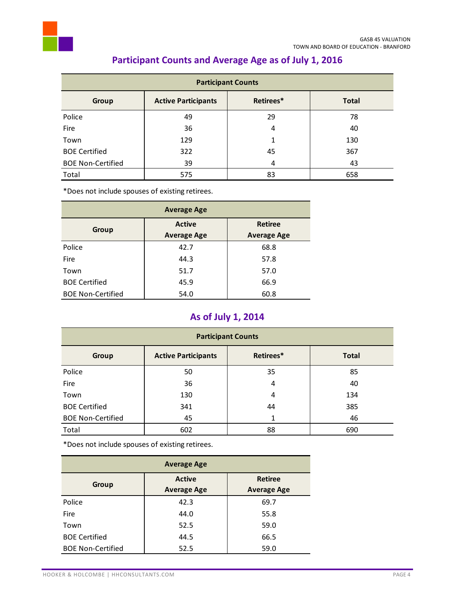

| <b>Participant Counts</b> |                            |           |              |
|---------------------------|----------------------------|-----------|--------------|
| Group                     | <b>Active Participants</b> | Retirees* | <b>Total</b> |
| Police                    | 49                         | 29        | 78           |
| Fire                      | 36                         | 4         | 40           |
| Town                      | 129                        |           | 130          |
| <b>BOE Certified</b>      | 322                        | 45        | 367          |
| <b>BOE Non-Certified</b>  | 39                         | 4         | 43           |
| Total                     | 575                        | 83        | 658          |

# **Participant Counts and Average Age as of July 1, 2016**

\*Does not include spouses of existing retirees.

| <b>Average Age</b>       |                                     |                                      |  |
|--------------------------|-------------------------------------|--------------------------------------|--|
| Group                    | <b>Active</b><br><b>Average Age</b> | <b>Retiree</b><br><b>Average Age</b> |  |
| Police                   | 42.7                                | 68.8                                 |  |
| <b>Fire</b>              | 44.3                                | 57.8                                 |  |
| Town                     | 51.7                                | 57.0                                 |  |
| <b>BOE Certified</b>     | 45.9                                | 66.9                                 |  |
| <b>BOE Non-Certified</b> | 54.0                                | 60.8                                 |  |

# **As of July 1, 2014**

| <b>Participant Counts</b> |                            |           |              |
|---------------------------|----------------------------|-----------|--------------|
| <b>Group</b>              | <b>Active Participants</b> | Retirees* | <b>Total</b> |
| Police                    | 50                         | 35        | 85           |
| Fire                      | 36                         | 4         | 40           |
| Town                      | 130                        | 4         | 134          |
| <b>BOE Certified</b>      | 341                        | 44        | 385          |
| <b>BOE Non-Certified</b>  | 45                         | 1         | 46           |
| Total                     | 602                        | 88        | 690          |

\*Does not include spouses of existing retirees.

| <b>Average Age</b>       |                                     |                                      |  |
|--------------------------|-------------------------------------|--------------------------------------|--|
| Group                    | <b>Active</b><br><b>Average Age</b> | <b>Retiree</b><br><b>Average Age</b> |  |
| Police                   | 42.3                                | 69.7                                 |  |
| Fire                     | 44.0                                | 55.8                                 |  |
| Town                     | 52.5                                | 59.0                                 |  |
| <b>BOE Certified</b>     | 44.5                                | 66.5                                 |  |
| <b>BOE Non-Certified</b> | 52.5                                | 59.0                                 |  |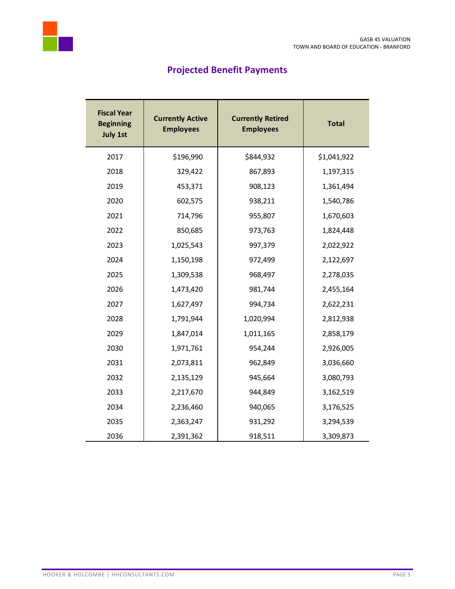

# **Projected Benefit Payments**

| <b>Fiscal Year</b><br><b>Beginning</b><br><b>July 1st</b> | <b>Currently Active</b><br><b>Employees</b> | <b>Currently Retired</b><br><b>Employees</b> | <b>Total</b> |
|-----------------------------------------------------------|---------------------------------------------|----------------------------------------------|--------------|
| 2017                                                      | \$196,990                                   | \$844,932                                    | \$1,041,922  |
| 2018                                                      | 329,422                                     | 867,893                                      | 1,197,315    |
| 2019                                                      | 453,371                                     | 908,123                                      | 1,361,494    |
| 2020                                                      | 602,575                                     | 938,211                                      | 1,540,786    |
| 2021                                                      | 714,796                                     | 955,807                                      | 1,670,603    |
| 2022                                                      | 850,685                                     | 973,763                                      | 1,824,448    |
| 2023                                                      | 1,025,543                                   | 997,379                                      | 2,022,922    |
| 2024                                                      | 1,150,198                                   | 972,499                                      | 2,122,697    |
| 2025                                                      | 1,309,538                                   | 968,497                                      | 2,278,035    |
| 2026                                                      | 1,473,420                                   | 981,744                                      | 2,455,164    |
| 2027                                                      | 1,627,497                                   | 994,734                                      | 2,622,231    |
| 2028                                                      | 1,791,944                                   | 1,020,994                                    | 2,812,938    |
| 2029                                                      | 1,847,014                                   | 1,011,165                                    | 2,858,179    |
| 2030                                                      | 1,971,761                                   | 954,244                                      | 2,926,005    |
| 2031                                                      | 2,073,811                                   | 962,849                                      | 3,036,660    |
| 2032                                                      | 2,135,129                                   | 945,664                                      | 3,080,793    |
| 2033                                                      | 2,217,670                                   | 944,849                                      | 3,162,519    |
| 2034                                                      | 2,236,460                                   | 940,065                                      | 3,176,525    |
| 2035                                                      | 2,363,247                                   | 931,292                                      | 3,294,539    |
| 2036                                                      | 2,391,362                                   | 918,511                                      | 3,309,873    |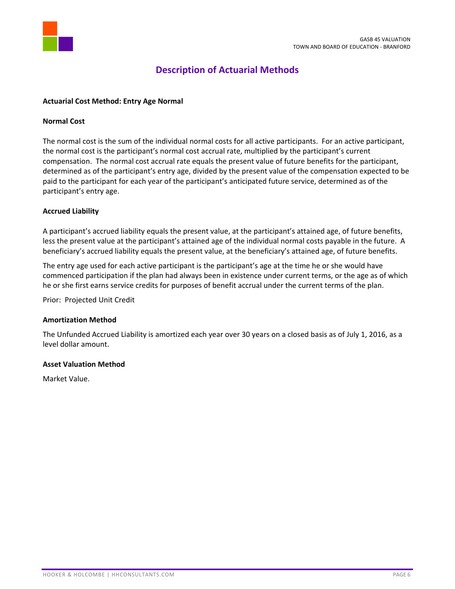

## **Description of Actuarial Methods**

## **Actuarial Cost Method: Entry Age Normal**

#### **Normal Cost**

The normal cost is the sum of the individual normal costs for all active participants. For an active participant, the normal cost is the participant's normal cost accrual rate, multiplied by the participant's current compensation. The normal cost accrual rate equals the present value of future benefits for the participant, determined as of the participant's entry age, divided by the present value of the compensation expected to be paid to the participant for each year of the participant's anticipated future service, determined as of the participant's entry age.

#### **Accrued Liability**

A participant's accrued liability equals the present value, at the participant's attained age, of future benefits, less the present value at the participant's attained age of the individual normal costs payable in the future. A beneficiary's accrued liability equals the present value, at the beneficiary's attained age, of future benefits.

The entry age used for each active participant is the participant's age at the time he or she would have commenced participation if the plan had always been in existence under current terms, or the age as of which he or she first earns service credits for purposes of benefit accrual under the current terms of the plan.

Prior: Projected Unit Credit

#### **Amortization Method**

The Unfunded Accrued Liability is amortized each year over 30 years on a closed basis as of July 1, 2016, as a level dollar amount.

#### **Asset Valuation Method**

Market Value.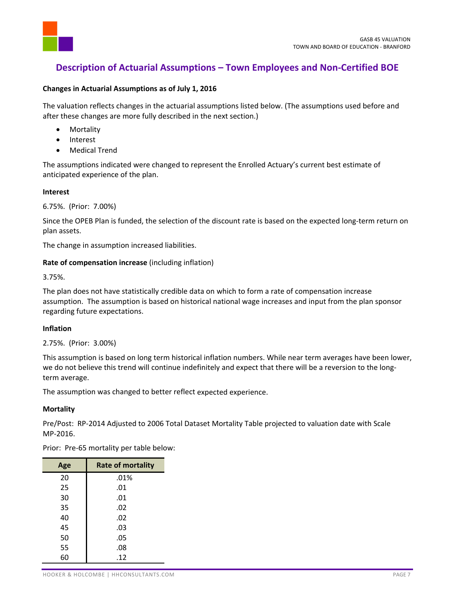

## **Description of Actuarial Assumptions – Town Employees and Non‐Certified BOE**

#### **Changes in Actuarial Assumptions as of July 1, 2016**

The valuation reflects changes in the actuarial assumptions listed below. (The assumptions used before and after these changes are more fully described in the next section.)

- Mortality
- Interest
- Medical Trend

The assumptions indicated were changed to represent the Enrolled Actuary's current best estimate of anticipated experience of the plan.

#### **Interest**

6.75%. (Prior: 7.00%)

Since the OPEB Plan is funded, the selection of the discount rate is based on the expected long-term return on plan assets.

The change in assumption increased liabilities.

## **Rate of compensation increase** (including inflation)

3.75%.

The plan does not have statistically credible data on which to form a rate of compensation increase assumption. The assumption is based on historical national wage increases and input from the plan sponsor regarding future expectations.

## **Inflation**

2.75%. (Prior: 3.00%)

This assumption is based on long term historical inflation numbers. While near term averages have been lower, we do not believe this trend will continue indefinitely and expect that there will be a reversion to the longterm average.

The assumption was changed to better reflect expected experience.

## **Mortality**

Pre/Post: RP‐2014 Adjusted to 2006 Total Dataset Mortality Table projected to valuation date with Scale MP‐2016.

Prior: Pre-65 mortality per table below:

| Age | <b>Rate of mortality</b> |
|-----|--------------------------|
| 20  | .01%                     |
| 25  | .01                      |
| 30  | .01                      |
| 35  | .02                      |
| 40  | .02                      |
| 45  | .03                      |
| 50  | .05                      |
| 55  | .08                      |
| 60  | .12                      |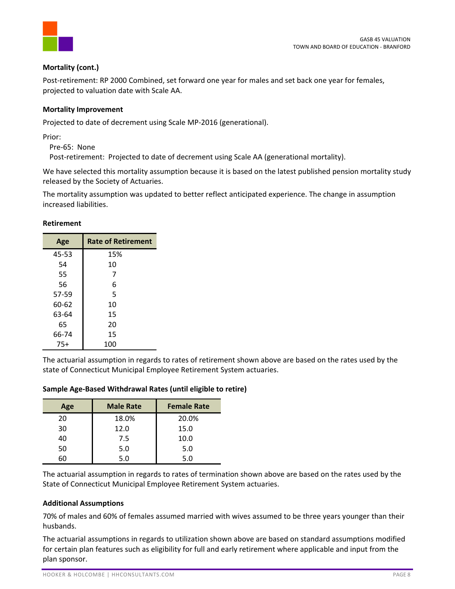

## **Mortality (cont.)**

Post-retirement: RP 2000 Combined, set forward one year for males and set back one year for females, projected to valuation date with Scale AA.

## **Mortality Improvement**

Projected to date of decrement using Scale MP‐2016 (generational).

Prior:

Pre‐65: None

Post-retirement: Projected to date of decrement using Scale AA (generational mortality).

We have selected this mortality assumption because it is based on the latest published pension mortality study released by the Society of Actuaries.

The mortality assumption was updated to better reflect anticipated experience. The change in assumption increased liabilities.

#### **Retirement**

| Age   | <b>Rate of Retirement</b> |
|-------|---------------------------|
| 45-53 | 15%                       |
| 54    | 10                        |
| 55    | 7                         |
| 56    | 6                         |
| 57-59 | 5                         |
| 60-62 | 10                        |
| 63-64 | 15                        |
| 65    | 20                        |
| 66-74 | 15                        |
| $75+$ | 100                       |

The actuarial assumption in regards to rates of retirement shown above are based on the rates used by the state of Connecticut Municipal Employee Retirement System actuaries.

| Sample Age-Based Withdrawal Rates (until eligible to retire) |  |  |  |
|--------------------------------------------------------------|--|--|--|
|--------------------------------------------------------------|--|--|--|

| Age | <b>Male Rate</b> | <b>Female Rate</b> |
|-----|------------------|--------------------|
| 20  | 18.0%            | 20.0%              |
| 30  | 12.0             | 15.0               |
| 40  | 7.5              | 10.0               |
| 50  | 5.0              | 5.0                |
| 60  | 5.0              | 5.0                |

The actuarial assumption in regards to rates of termination shown above are based on the rates used by the State of Connecticut Municipal Employee Retirement System actuaries.

## **Additional Assumptions**

70% of males and 60% of females assumed married with wives assumed to be three years younger than their husbands.

The actuarial assumptions in regards to utilization shown above are based on standard assumptions modified for certain plan features such as eligibility for full and early retirement where applicable and input from the plan sponsor.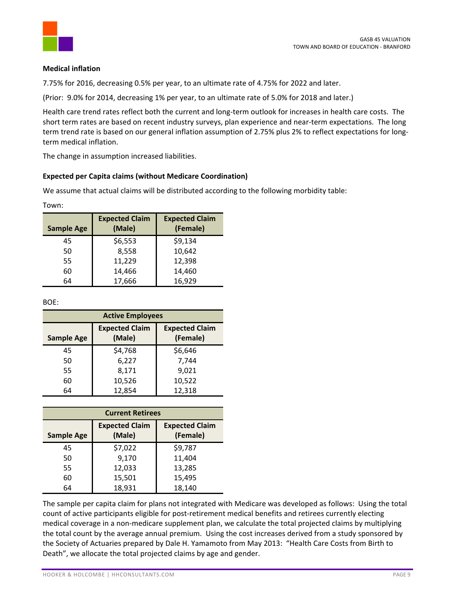

## **Medical inflation**

7.75% for 2016, decreasing 0.5% per year, to an ultimate rate of 4.75% for 2022 and later.

(Prior: 9.0% for 2014, decreasing 1% per year, to an ultimate rate of 5.0% for 2018 and later.)

Health care trend rates reflect both the current and long‐term outlook for increases in health care costs. The short term rates are based on recent industry surveys, plan experience and near-term expectations. The long term trend rate is based on our general inflation assumption of 2.75% plus 2% to reflect expectations for longterm medical inflation.

The change in assumption increased liabilities.

## **Expected per Capita claims (without Medicare Coordination)**

We assume that actual claims will be distributed according to the following morbidity table:

| w<br>۰, |  |
|---------|--|
|         |  |

| <b>Sample Age</b> | <b>Expected Claim</b><br>(Male) | <b>Expected Claim</b><br>(Female) |
|-------------------|---------------------------------|-----------------------------------|
| 45                | \$6,553                         | \$9,134                           |
| 50                | 8,558                           | 10,642                            |
| 55                | 11,229                          | 12,398                            |
| 60                | 14,466                          | 14,460                            |
| 64                | 17,666                          | 16,929                            |

BOE:

| <b>Active Employees</b> |                                 |                                   |
|-------------------------|---------------------------------|-----------------------------------|
| <b>Sample Age</b>       | <b>Expected Claim</b><br>(Male) | <b>Expected Claim</b><br>(Female) |
| 45                      | \$4,768                         | \$6,646                           |
| 50                      | 6,227                           | 7,744                             |
| 55                      | 8,171                           | 9,021                             |
| 60                      | 10,526                          | 10,522                            |
| 64                      | 12,854                          | 12,318                            |

| <b>Current Retirees</b> |                                 |                                   |
|-------------------------|---------------------------------|-----------------------------------|
| <b>Sample Age</b>       | <b>Expected Claim</b><br>(Male) | <b>Expected Claim</b><br>(Female) |
| 45                      | \$7,022                         | \$9,787                           |
| 50                      | 9,170                           | 11,404                            |
| 55                      | 12,033                          | 13,285                            |
| 60                      | 15,501                          | 15,495                            |
| 64                      | 18,931                          | 18,140                            |

The sample per capita claim for plans not integrated with Medicare was developed as follows: Using the total count of active participants eligible for post-retirement medical benefits and retirees currently electing medical coverage in a non‐medicare supplement plan, we calculate the total projected claims by multiplying the total count by the average annual premium. Using the cost increases derived from a study sponsored by the Society of Actuaries prepared by Dale H. Yamamoto from May 2013: "Health Care Costs from Birth to Death", we allocate the total projected claims by age and gender.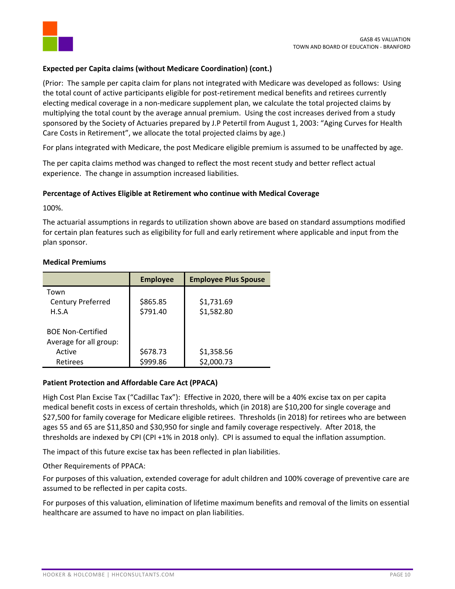

## **Expected per Capita claims (without Medicare Coordination) (cont.)**

(Prior: The sample per capita claim for plans not integrated with Medicare was developed as follows: Using the total count of active participants eligible for post-retirement medical benefits and retirees currently electing medical coverage in a non-medicare supplement plan, we calculate the total projected claims by multiplying the total count by the average annual premium. Using the cost increases derived from a study sponsored by the Society of Actuaries prepared by J.P Petertil from August 1, 2003: "Aging Curves for Health Care Costs in Retirement", we allocate the total projected claims by age.)

For plans integrated with Medicare, the post Medicare eligible premium is assumed to be unaffected by age.

The per capita claims method was changed to reflect the most recent study and better reflect actual experience. The change in assumption increased liabilities.

## **Percentage of Actives Eligible at Retirement who continue with Medical Coverage**

100%.

The actuarial assumptions in regards to utilization shown above are based on standard assumptions modified for certain plan features such as eligibility for full and early retirement where applicable and input from the plan sponsor.

## **Medical Premiums**

|                                                    | <b>Employee</b>      | <b>Employee Plus Spouse</b> |
|----------------------------------------------------|----------------------|-----------------------------|
| Town<br><b>Century Preferred</b><br>H.S.A          | \$865.85<br>\$791.40 | \$1,731.69<br>\$1,582.80    |
| <b>BOE Non-Certified</b><br>Average for all group: |                      |                             |
| Active<br>Retirees                                 | \$678.73<br>\$999.86 | \$1,358.56<br>\$2,000.73    |

## **Patient Protection and Affordable Care Act (PPACA)**

High Cost Plan Excise Tax ("Cadillac Tax"): Effective in 2020, there will be a 40% excise tax on per capita medical benefit costs in excess of certain thresholds, which (in 2018) are \$10,200 for single coverage and \$27,500 for family coverage for Medicare eligible retirees. Thresholds (in 2018) for retirees who are between ages 55 and 65 are \$11,850 and \$30,950 for single and family coverage respectively. After 2018, the thresholds are indexed by CPI (CPI +1% in 2018 only). CPI is assumed to equal the inflation assumption.

The impact of this future excise tax has been reflected in plan liabilities.

Other Requirements of PPACA:

For purposes of this valuation, extended coverage for adult children and 100% coverage of preventive care are assumed to be reflected in per capita costs.

For purposes of this valuation, elimination of lifetime maximum benefits and removal of the limits on essential healthcare are assumed to have no impact on plan liabilities.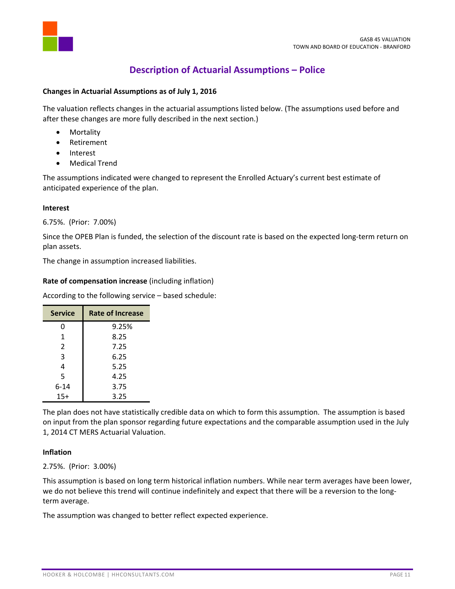

## **Description of Actuarial Assumptions – Police**

## **Changes in Actuarial Assumptions as of July 1, 2016**

The valuation reflects changes in the actuarial assumptions listed below. (The assumptions used before and after these changes are more fully described in the next section.)

- Mortality
- Retirement
- Interest
- Medical Trend

The assumptions indicated were changed to represent the Enrolled Actuary's current best estimate of anticipated experience of the plan.

#### **Interest**

6.75%. (Prior: 7.00%)

Since the OPEB Plan is funded, the selection of the discount rate is based on the expected long-term return on plan assets.

The change in assumption increased liabilities.

## **Rate of compensation increase** (including inflation)

According to the following service – based schedule:

| <b>Service</b> | Rate of Increase |
|----------------|------------------|
| 0              | 9.25%            |
| 1              | 8.25             |
| 2              | 7.25             |
| 3              | 6.25             |
| 4              | 5.25             |
| 5              | 4.25             |
| 6-14           | 3.75             |
| $15+$          | 3.25             |

The plan does not have statistically credible data on which to form this assumption. The assumption is based on input from the plan sponsor regarding future expectations and the comparable assumption used in the July 1, 2014 CT MERS Actuarial Valuation.

## **Inflation**

2.75%. (Prior: 3.00%)

This assumption is based on long term historical inflation numbers. While near term averages have been lower, we do not believe this trend will continue indefinitely and expect that there will be a reversion to the longterm average.

The assumption was changed to better reflect expected experience.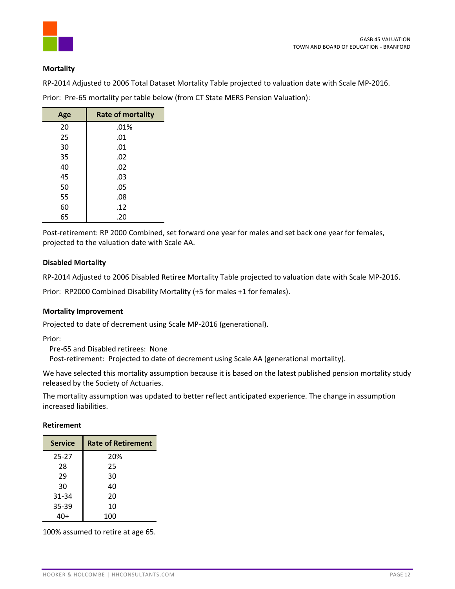

#### **Mortality**

RP‐2014 Adjusted to 2006 Total Dataset Mortality Table projected to valuation date with Scale MP‐2016.

| Age | <b>Rate of mortality</b> |
|-----|--------------------------|
| 20  | .01%                     |
| 25  | .01                      |
| 30  | .01                      |
| 35  | .02                      |
| 40  | .02                      |
| 45  | .03                      |
| 50  | .05                      |
| 55  | .08                      |
| 60  | .12                      |
| 65  | .20                      |

Prior: Pre-65 mortality per table below (from CT State MERS Pension Valuation):

Post-retirement: RP 2000 Combined, set forward one year for males and set back one year for females, projected to the valuation date with Scale AA.

#### **Disabled Mortality**

RP‐2014 Adjusted to 2006 Disabled Retiree Mortality Table projected to valuation date with Scale MP‐2016.

Prior: RP2000 Combined Disability Mortality (+5 for males +1 for females).

#### **Mortality Improvement**

Projected to date of decrement using Scale MP‐2016 (generational).

Prior:

Pre‐65 and Disabled retirees: None

Post-retirement: Projected to date of decrement using Scale AA (generational mortality).

We have selected this mortality assumption because it is based on the latest published pension mortality study released by the Society of Actuaries.

The mortality assumption was updated to better reflect anticipated experience. The change in assumption increased liabilities.

#### **Retirement**

| <b>Service</b> | <b>Rate of Retirement</b> |
|----------------|---------------------------|
| $25 - 27$      | 20%                       |
| 28             | 25                        |
| 29             | 30                        |
| 30             | 40                        |
| 31-34          | 20                        |
| 35-39          | 10                        |
|                | 100                       |

100% assumed to retire at age 65.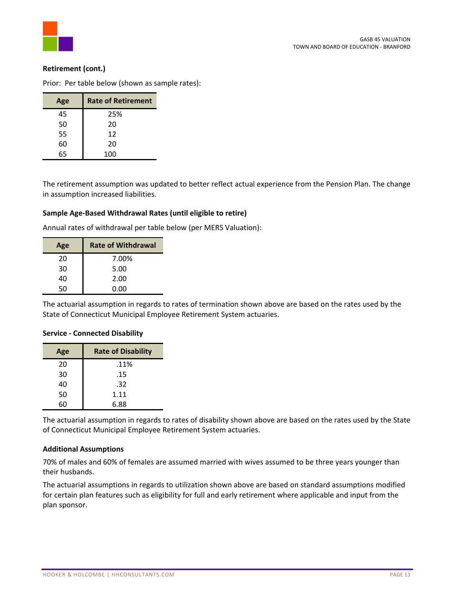## **Retirement (cont.)**

Prior: Per table below (shown as sample rates):

| Age | <b>Rate of Retirement</b> |
|-----|---------------------------|
| 45  | 25%                       |
| 50  | 20                        |
| 55  | 12                        |
| 60  | 20                        |
| 65  | 100                       |

The retirement assumption was updated to better reflect actual experience from the Pension Plan. The change in assumption increased liabilities.

#### **Sample Age‐Based Withdrawal Rates (until eligible to retire)**

Annual rates of withdrawal per table below (per MERS Valuation):

| Age | <b>Rate of Withdrawal</b> |  |  |
|-----|---------------------------|--|--|
| 20  | 7.00%                     |  |  |
| 30  | 5.00                      |  |  |
| 40  | 2.00                      |  |  |
| 50  | 0.00                      |  |  |

The actuarial assumption in regards to rates of termination shown above are based on the rates used by the State of Connecticut Municipal Employee Retirement System actuaries.

#### **Service ‐ Connected Disability**

| Age | <b>Rate of Disability</b> |  |
|-----|---------------------------|--|
| 20  | .11%                      |  |
| 30  | .15                       |  |
| 40  | .32                       |  |
| 50  | 1.11                      |  |
| 6በ  | 6.88                      |  |

The actuarial assumption in regards to rates of disability shown above are based on the rates used by the State of Connecticut Municipal Employee Retirement System actuaries.

#### **Additional Assumptions**

70% of males and 60% of females are assumed married with wives assumed to be three years younger than their husbands.

The actuarial assumptions in regards to utilization shown above are based on standard assumptions modified for certain plan features such as eligibility for full and early retirement where applicable and input from the plan sponsor.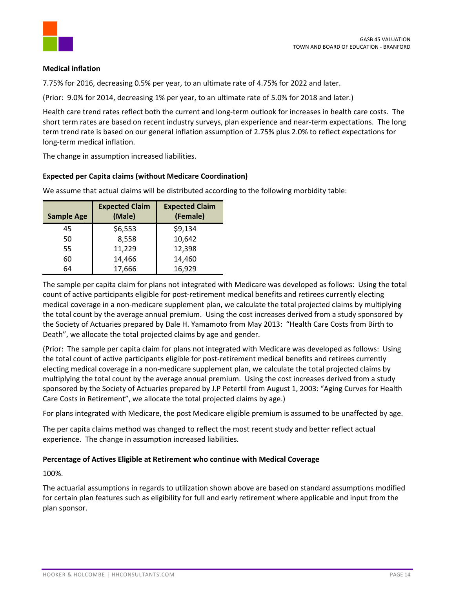

## **Medical inflation**

7.75% for 2016, decreasing 0.5% per year, to an ultimate rate of 4.75% for 2022 and later.

(Prior: 9.0% for 2014, decreasing 1% per year, to an ultimate rate of 5.0% for 2018 and later.)

Health care trend rates reflect both the current and long‐term outlook for increases in health care costs. The short term rates are based on recent industry surveys, plan experience and near-term expectations. The long term trend rate is based on our general inflation assumption of 2.75% plus 2.0% to reflect expectations for long‐term medical inflation.

The change in assumption increased liabilities.

## **Expected per Capita claims (without Medicare Coordination)**

| <b>Sample Age</b> | <b>Expected Claim</b><br>(Male) | <b>Expected Claim</b><br>(Female) |
|-------------------|---------------------------------|-----------------------------------|
| 45                | \$6,553                         | \$9,134                           |
| 50                | 8,558                           | 10,642                            |
| 55                | 11,229                          | 12,398                            |
| 60                | 14,466                          | 14,460                            |
| 64                | 17,666                          | 16,929                            |

We assume that actual claims will be distributed according to the following morbidity table:

The sample per capita claim for plans not integrated with Medicare was developed as follows: Using the total count of active participants eligible for post‐retirement medical benefits and retirees currently electing medical coverage in a non‐medicare supplement plan, we calculate the total projected claims by multiplying the total count by the average annual premium. Using the cost increases derived from a study sponsored by the Society of Actuaries prepared by Dale H. Yamamoto from May 2013: "Health Care Costs from Birth to Death", we allocate the total projected claims by age and gender.

(Prior: The sample per capita claim for plans not integrated with Medicare was developed as follows: Using the total count of active participants eligible for post‐retirement medical benefits and retirees currently electing medical coverage in a non-medicare supplement plan, we calculate the total projected claims by multiplying the total count by the average annual premium. Using the cost increases derived from a study sponsored by the Society of Actuaries prepared by J.P Petertil from August 1, 2003: "Aging Curves for Health Care Costs in Retirement", we allocate the total projected claims by age.)

For plans integrated with Medicare, the post Medicare eligible premium is assumed to be unaffected by age.

The per capita claims method was changed to reflect the most recent study and better reflect actual experience. The change in assumption increased liabilities.

## **Percentage of Actives Eligible at Retirement who continue with Medical Coverage**

100%.

The actuarial assumptions in regards to utilization shown above are based on standard assumptions modified for certain plan features such as eligibility for full and early retirement where applicable and input from the plan sponsor.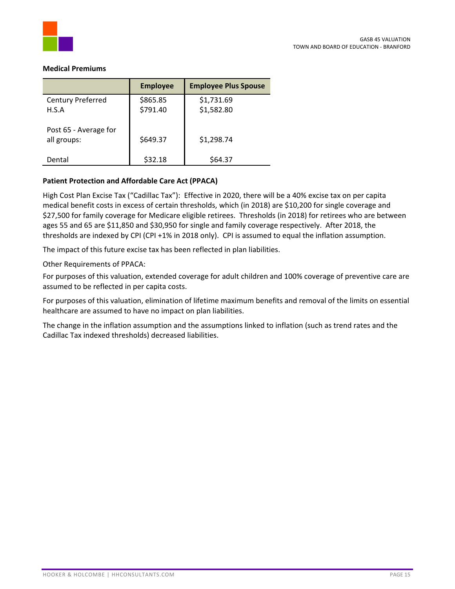

#### **Medical Premiums**

|                                      | <b>Employee</b>      | <b>Employee Plus Spouse</b> |
|--------------------------------------|----------------------|-----------------------------|
| Century Preferred<br>H.S.A           | \$865.85<br>\$791.40 | \$1,731.69<br>\$1,582.80    |
| Post 65 - Average for<br>all groups: | \$649.37             | \$1,298.74                  |
| Dental                               | \$32.18              | \$64.37                     |

## **Patient Protection and Affordable Care Act (PPACA)**

High Cost Plan Excise Tax ("Cadillac Tax"): Effective in 2020, there will be a 40% excise tax on per capita medical benefit costs in excess of certain thresholds, which (in 2018) are \$10,200 for single coverage and \$27,500 for family coverage for Medicare eligible retirees. Thresholds (in 2018) for retirees who are between ages 55 and 65 are \$11,850 and \$30,950 for single and family coverage respectively. After 2018, the thresholds are indexed by CPI (CPI +1% in 2018 only). CPI is assumed to equal the inflation assumption.

The impact of this future excise tax has been reflected in plan liabilities.

Other Requirements of PPACA:

For purposes of this valuation, extended coverage for adult children and 100% coverage of preventive care are assumed to be reflected in per capita costs.

For purposes of this valuation, elimination of lifetime maximum benefits and removal of the limits on essential healthcare are assumed to have no impact on plan liabilities.

The change in the inflation assumption and the assumptions linked to inflation (such as trend rates and the Cadillac Tax indexed thresholds) decreased liabilities.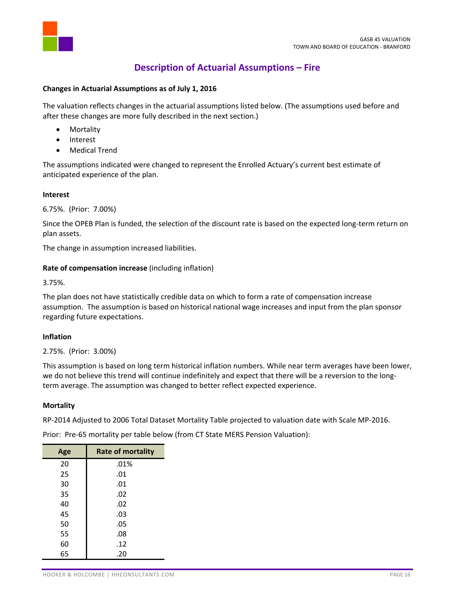

## **Description of Actuarial Assumptions – Fire**

#### **Changes in Actuarial Assumptions as of July 1, 2016**

The valuation reflects changes in the actuarial assumptions listed below. (The assumptions used before and after these changes are more fully described in the next section.)

- Mortality
- Interest
- Medical Trend

The assumptions indicated were changed to represent the Enrolled Actuary's current best estimate of anticipated experience of the plan.

#### **Interest**

6.75%. (Prior: 7.00%)

Since the OPEB Plan is funded, the selection of the discount rate is based on the expected long-term return on plan assets.

The change in assumption increased liabilities.

## **Rate of compensation increase** (including inflation)

3.75%.

The plan does not have statistically credible data on which to form a rate of compensation increase assumption. The assumption is based on historical national wage increases and input from the plan sponsor regarding future expectations.

## **Inflation**

2.75%. (Prior: 3.00%)

This assumption is based on long term historical inflation numbers. While near term averages have been lower, we do not believe this trend will continue indefinitely and expect that there will be a reversion to the longterm average. The assumption was changed to better reflect expected experience.

#### **Mortality**

RP‐2014 Adjusted to 2006 Total Dataset Mortality Table projected to valuation date with Scale MP‐2016.

Prior: Pre-65 mortality per table below (from CT State MERS Pension Valuation):

| Age | <b>Rate of mortality</b> |  |  |
|-----|--------------------------|--|--|
| 20  | .01%                     |  |  |
| 25  | .01                      |  |  |
| 30  | .01                      |  |  |
| 35  | .02                      |  |  |
| 40  | .02                      |  |  |
| 45  | .03                      |  |  |
| 50  | .05                      |  |  |
| 55  | .08                      |  |  |
| 60  | .12                      |  |  |
| 65  | .20                      |  |  |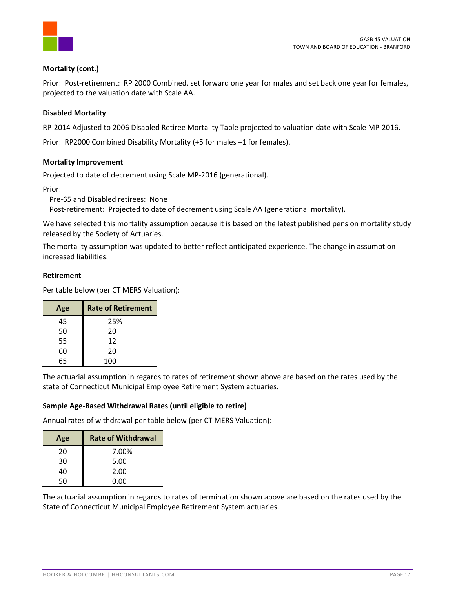

## **Mortality (cont.)**

Prior: Post-retirement: RP 2000 Combined, set forward one year for males and set back one year for females, projected to the valuation date with Scale AA.

## **Disabled Mortality**

RP‐2014 Adjusted to 2006 Disabled Retiree Mortality Table projected to valuation date with Scale MP‐2016.

Prior: RP2000 Combined Disability Mortality (+5 for males +1 for females).

## **Mortality Improvement**

Projected to date of decrement using Scale MP‐2016 (generational).

Prior:

Pre‐65 and Disabled retirees: None

Post-retirement: Projected to date of decrement using Scale AA (generational mortality).

We have selected this mortality assumption because it is based on the latest published pension mortality study released by the Society of Actuaries.

The mortality assumption was updated to better reflect anticipated experience. The change in assumption increased liabilities.

#### **Retirement**

Per table below (per CT MERS Valuation):

| Age | <b>Rate of Retirement</b> |
|-----|---------------------------|
| 45  | 25%                       |
| 50  | 20                        |
| 55  | 12                        |
| 60  | 20                        |
| 65  | 100                       |

The actuarial assumption in regards to rates of retirement shown above are based on the rates used by the state of Connecticut Municipal Employee Retirement System actuaries.

## **Sample Age‐Based Withdrawal Rates (until eligible to retire)**

Annual rates of withdrawal per table below (per CT MERS Valuation):

| Age | <b>Rate of Withdrawal</b> |
|-----|---------------------------|
| 20  | 7.00%                     |
| 30  | 5.00                      |
| 40  | 2.00                      |
| 50  | 0.00                      |

The actuarial assumption in regards to rates of termination shown above are based on the rates used by the State of Connecticut Municipal Employee Retirement System actuaries.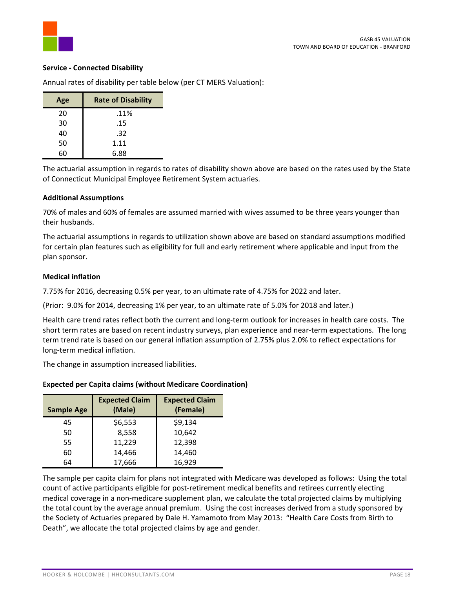

#### **Service ‐ Connected Disability**

Annual rates of disability per table below (per CT MERS Valuation):

| Age | <b>Rate of Disability</b> |  |
|-----|---------------------------|--|
| 20  | .11%                      |  |
| 30  | .15                       |  |
| 40  | .32                       |  |
| 50  | 1.11                      |  |
|     | 6.88                      |  |

The actuarial assumption in regards to rates of disability shown above are based on the rates used by the State of Connecticut Municipal Employee Retirement System actuaries.

#### **Additional Assumptions**

70% of males and 60% of females are assumed married with wives assumed to be three years younger than their husbands.

The actuarial assumptions in regards to utilization shown above are based on standard assumptions modified for certain plan features such as eligibility for full and early retirement where applicable and input from the plan sponsor.

#### **Medical inflation**

7.75% for 2016, decreasing 0.5% per year, to an ultimate rate of 4.75% for 2022 and later.

(Prior: 9.0% for 2014, decreasing 1% per year, to an ultimate rate of 5.0% for 2018 and later.)

Health care trend rates reflect both the current and long‐term outlook for increases in health care costs. The short term rates are based on recent industry surveys, plan experience and near-term expectations. The long term trend rate is based on our general inflation assumption of 2.75% plus 2.0% to reflect expectations for long‐term medical inflation.

The change in assumption increased liabilities.

#### **Sample Age Expected Claim (Male) Expected Claim (Female)**

**Expected per Capita claims (without Medicare Coordination)**

| <b>Sample Age</b> | <b>Expected Claim</b><br>(Male) | <b>Expected Claim</b><br>(Female) |
|-------------------|---------------------------------|-----------------------------------|
| 45                | \$6,553                         | \$9,134                           |
| 50                | 8,558                           | 10,642                            |
| 55                | 11,229                          | 12,398                            |
| 60                | 14,466                          | 14,460                            |
| 64                | 17,666                          | 16,929                            |

The sample per capita claim for plans not integrated with Medicare was developed as follows: Using the total count of active participants eligible for post-retirement medical benefits and retirees currently electing medical coverage in a non‐medicare supplement plan, we calculate the total projected claims by multiplying the total count by the average annual premium. Using the cost increases derived from a study sponsored by the Society of Actuaries prepared by Dale H. Yamamoto from May 2013: "Health Care Costs from Birth to Death", we allocate the total projected claims by age and gender.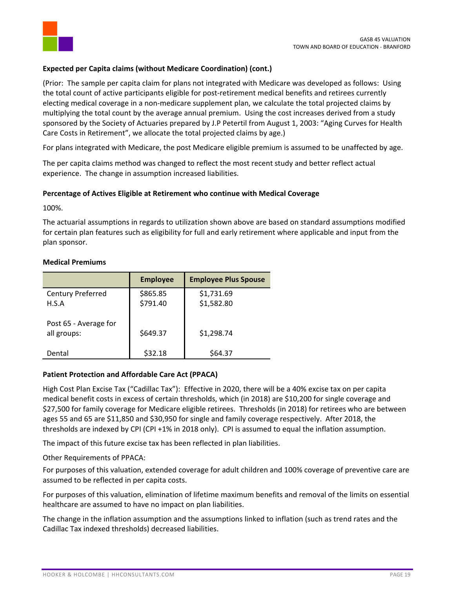

## **Expected per Capita claims (without Medicare Coordination) (cont.)**

(Prior: The sample per capita claim for plans not integrated with Medicare was developed as follows: Using the total count of active participants eligible for post-retirement medical benefits and retirees currently electing medical coverage in a non-medicare supplement plan, we calculate the total projected claims by multiplying the total count by the average annual premium. Using the cost increases derived from a study sponsored by the Society of Actuaries prepared by J.P Petertil from August 1, 2003: "Aging Curves for Health Care Costs in Retirement", we allocate the total projected claims by age.)

For plans integrated with Medicare, the post Medicare eligible premium is assumed to be unaffected by age.

The per capita claims method was changed to reflect the most recent study and better reflect actual experience. The change in assumption increased liabilities.

## **Percentage of Actives Eligible at Retirement who continue with Medical Coverage**

100%.

The actuarial assumptions in regards to utilization shown above are based on standard assumptions modified for certain plan features such as eligibility for full and early retirement where applicable and input from the plan sponsor.

#### **Medical Premiums**

|                                      | <b>Employee</b>      | <b>Employee Plus Spouse</b> |
|--------------------------------------|----------------------|-----------------------------|
| Century Preferred<br>H.S.A           | \$865.85<br>\$791.40 | \$1,731.69<br>\$1,582.80    |
| Post 65 - Average for<br>all groups: | \$649.37             | \$1,298.74                  |
| Dental                               | \$32.18              | \$64.37                     |

#### **Patient Protection and Affordable Care Act (PPACA)**

High Cost Plan Excise Tax ("Cadillac Tax"): Effective in 2020, there will be a 40% excise tax on per capita medical benefit costs in excess of certain thresholds, which (in 2018) are \$10,200 for single coverage and \$27,500 for family coverage for Medicare eligible retirees. Thresholds (in 2018) for retirees who are between ages 55 and 65 are \$11,850 and \$30,950 for single and family coverage respectively. After 2018, the thresholds are indexed by CPI (CPI +1% in 2018 only). CPI is assumed to equal the inflation assumption.

The impact of this future excise tax has been reflected in plan liabilities.

Other Requirements of PPACA:

For purposes of this valuation, extended coverage for adult children and 100% coverage of preventive care are assumed to be reflected in per capita costs.

For purposes of this valuation, elimination of lifetime maximum benefits and removal of the limits on essential healthcare are assumed to have no impact on plan liabilities.

The change in the inflation assumption and the assumptions linked to inflation (such as trend rates and the Cadillac Tax indexed thresholds) decreased liabilities.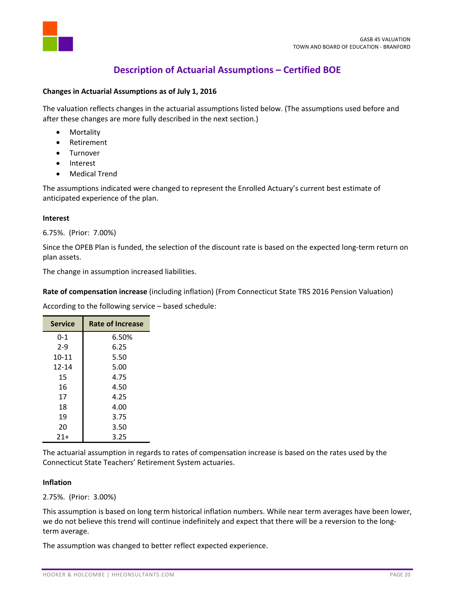

## **Description of Actuarial Assumptions – Certified BOE**

## **Changes in Actuarial Assumptions as of July 1, 2016**

The valuation reflects changes in the actuarial assumptions listed below. (The assumptions used before and after these changes are more fully described in the next section.)

- Mortality
- Retirement
- Turnover
- Interest
- Medical Trend

The assumptions indicated were changed to represent the Enrolled Actuary's current best estimate of anticipated experience of the plan.

#### **Interest**

#### 6.75%. (Prior: 7.00%)

Since the OPEB Plan is funded, the selection of the discount rate is based on the expected long-term return on plan assets.

The change in assumption increased liabilities.

**Rate of compensation increase** (including inflation) (From Connecticut State TRS 2016 Pension Valuation)

According to the following service – based schedule:

| <b>Service</b> | <b>Rate of Increase</b> |  |  |
|----------------|-------------------------|--|--|
| $0 - 1$        | 6.50%                   |  |  |
| $2 - 9$        | 6.25                    |  |  |
| $10 - 11$      | 5.50                    |  |  |
| 12-14          | 5.00                    |  |  |
| 15             | 4.75                    |  |  |
| 16             | 4.50                    |  |  |
| 17             | 4.25                    |  |  |
| 18             | 4.00                    |  |  |
| 19             | 3.75                    |  |  |
| 20             | 3.50                    |  |  |
| $21+$          | 3.25                    |  |  |
|                |                         |  |  |

The actuarial assumption in regards to rates of compensation increase is based on the rates used by the Connecticut State Teachers' Retirement System actuaries.

#### **Inflation**

2.75%. (Prior: 3.00%)

This assumption is based on long term historical inflation numbers. While near term averages have been lower, we do not believe this trend will continue indefinitely and expect that there will be a reversion to the longterm average.

The assumption was changed to better reflect expected experience.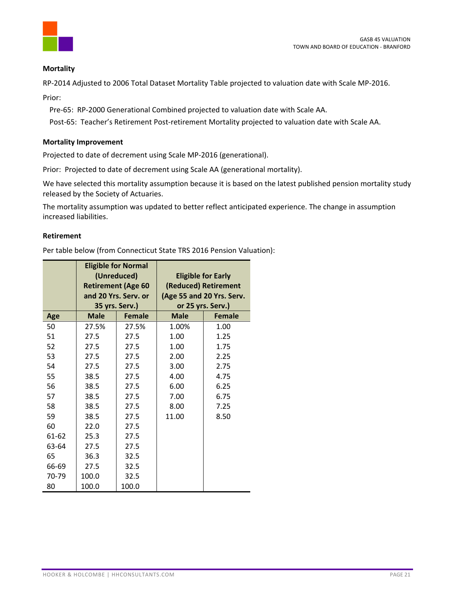

## **Mortality**

RP‐2014 Adjusted to 2006 Total Dataset Mortality Table projected to valuation date with Scale MP‐2016.

Prior:

Pre‐65: RP‐2000 Generational Combined projected to valuation date with Scale AA.

Post-65: Teacher's Retirement Post-retirement Mortality projected to valuation date with Scale AA.

#### **Mortality Improvement**

Projected to date of decrement using Scale MP‐2016 (generational).

Prior: Projected to date of decrement using Scale AA (generational mortality).

We have selected this mortality assumption because it is based on the latest published pension mortality study released by the Society of Actuaries.

The mortality assumption was updated to better reflect anticipated experience. The change in assumption increased liabilities.

#### **Retirement**

Per table below (from Connecticut State TRS 2016 Pension Valuation):

|       |             | <b>Eligible for Normal</b><br>(Unreduced)<br><b>Retirement (Age 60</b><br>and 20 Yrs. Serv. or |             | <b>Eligible for Early</b><br>(Reduced) Retirement<br>(Age 55 and 20 Yrs. Serv. |
|-------|-------------|------------------------------------------------------------------------------------------------|-------------|--------------------------------------------------------------------------------|
|       |             | 35 yrs. Serv.)                                                                                 |             | or 25 yrs. Serv.)                                                              |
| Age   | <b>Male</b> | <b>Female</b>                                                                                  | <b>Male</b> | <b>Female</b>                                                                  |
| 50    | 27.5%       | 27.5%                                                                                          | 1.00%       | 1.00                                                                           |
| 51    | 27.5        | 27.5                                                                                           | 1.00        | 1.25                                                                           |
| 52    | 27.5        | 27.5                                                                                           | 1.00        | 1.75                                                                           |
| 53    | 27.5        | 27.5                                                                                           | 2.00        | 2.25                                                                           |
| 54    | 27.5        | 27.5                                                                                           | 3.00        | 2.75                                                                           |
| 55    | 38.5        | 27.5                                                                                           | 4.00        | 4.75                                                                           |
| 56    | 38.5        | 27.5                                                                                           | 6.00        | 6.25                                                                           |
| 57    | 38.5        | 27.5                                                                                           | 7.00        | 6.75                                                                           |
| 58    | 38.5        | 27.5                                                                                           | 8.00        | 7.25                                                                           |
| 59    | 38.5        | 27.5                                                                                           | 11.00       | 8.50                                                                           |
| 60    | 22.0        | 27.5                                                                                           |             |                                                                                |
| 61-62 | 25.3        | 27.5                                                                                           |             |                                                                                |
| 63-64 | 27.5        | 27.5                                                                                           |             |                                                                                |
| 65    | 36.3        | 32.5                                                                                           |             |                                                                                |
| 66-69 | 27.5        | 32.5                                                                                           |             |                                                                                |
| 70-79 | 100.0       | 32.5                                                                                           |             |                                                                                |
| 80    | 100.0       | 100.0                                                                                          |             |                                                                                |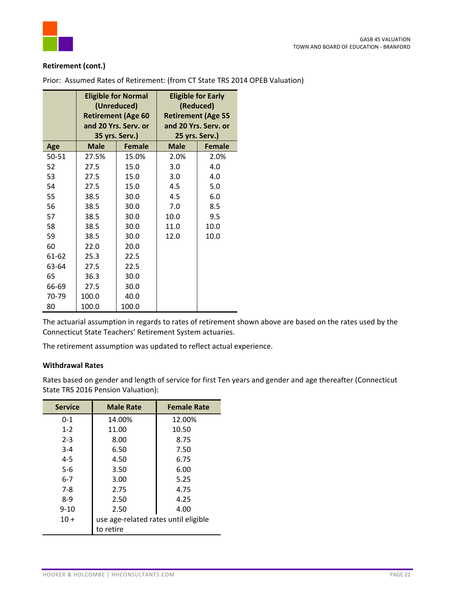

## **Retirement (cont.)**

|       | <b>Eligible for Normal</b><br>(Unreduced)<br><b>Retirement (Age 60</b><br>and 20 Yrs. Serv. or |                                 | <b>Eligible for Early</b><br>(Reduced)<br><b>Retirement (Age 55</b><br>and 20 Yrs. Serv. or |                                 |
|-------|------------------------------------------------------------------------------------------------|---------------------------------|---------------------------------------------------------------------------------------------|---------------------------------|
| Age   | <b>Male</b>                                                                                    | 35 yrs. Serv.)<br><b>Female</b> | <b>Male</b>                                                                                 | 25 yrs. Serv.)<br><b>Female</b> |
| 50-51 | 27.5%                                                                                          | 15.0%                           | 2.0%                                                                                        | 2.0%                            |
| 52    | 27.5                                                                                           | 15.0                            | 3.0                                                                                         | 4.0                             |
| 53    | 27.5                                                                                           | 15.0                            | 3.0                                                                                         | 4.0                             |
| 54    | 27.5                                                                                           | 15.0                            | 4.5                                                                                         | 5.0                             |
| 55    | 38.5                                                                                           | 30.0                            | 4.5                                                                                         | 6.0                             |
| 56    | 38.5                                                                                           | 30.0                            | 7.0                                                                                         | 8.5                             |
| 57    | 38.5                                                                                           | 30.0                            | 10.0                                                                                        | 9.5                             |
| 58    | 38.5                                                                                           | 30.0                            | 11.0                                                                                        | 10.0                            |
| 59    | 38.5                                                                                           | 30.0                            | 12.0                                                                                        | 10.0                            |
| 60    | 22.0                                                                                           | 20.0                            |                                                                                             |                                 |
| 61-62 | 25.3                                                                                           | 22.5                            |                                                                                             |                                 |
| 63-64 | 27.5                                                                                           | 22.5                            |                                                                                             |                                 |
| 65    | 36.3                                                                                           | 30.0                            |                                                                                             |                                 |
| 66-69 | 27.5                                                                                           | 30.0                            |                                                                                             |                                 |
| 70-79 | 100.0                                                                                          | 40.0                            |                                                                                             |                                 |
| 80    | 100.0                                                                                          | 100.0                           |                                                                                             |                                 |

Prior: Assumed Rates of Retirement: (from CT State TRS 2014 OPEB Valuation)

The actuarial assumption in regards to rates of retirement shown above are based on the rates used by the Connecticut State Teachers' Retirement System actuaries.

The retirement assumption was updated to reflect actual experience.

#### **Withdrawal Rates**

Rates based on gender and length of service for first Ten years and gender and age thereafter (Connecticut State TRS 2016 Pension Valuation):

| <b>Service</b> | <b>Male Rate</b>                     | <b>Female Rate</b> |
|----------------|--------------------------------------|--------------------|
| $0 - 1$        | 14.00%                               | 12.00%             |
| $1 - 2$        | 11.00                                | 10.50              |
| $2 - 3$        | 8.00                                 | 8.75               |
| $3 - 4$        | 6.50                                 | 7.50               |
| $4 - 5$        | 4.50                                 | 6.75               |
| $5-6$          | 3.50                                 | 6.00               |
| $6 - 7$        | 3.00                                 | 5.25               |
| 7-8            | 2.75                                 | 4.75               |
| $8-9$          | 2.50                                 | 4.25               |
| $9 - 10$       | 2.50                                 | 4.00               |
| $10+$          | use age-related rates until eligible |                    |
|                | to retire                            |                    |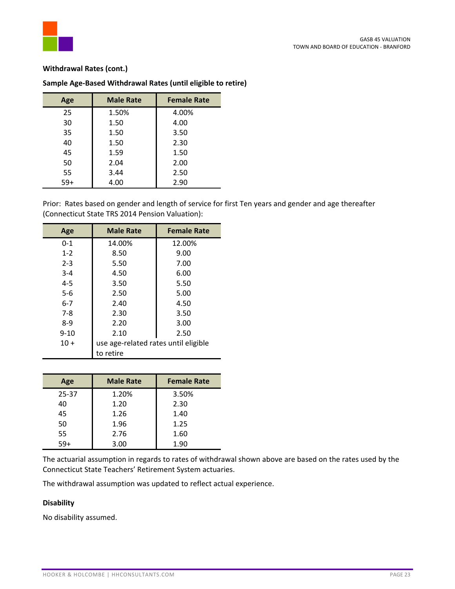

#### **Withdrawal Rates (cont.)**

| Age   | <b>Male Rate</b> | <b>Female Rate</b> |
|-------|------------------|--------------------|
| 25    | 1.50%            | 4.00%              |
| 30    | 1.50             | 4.00               |
| 35    | 1.50             | 3.50               |
| 40    | 1.50             | 2.30               |
| 45    | 1.59             | 1.50               |
| 50    | 2.04             | 2.00               |
| 55    | 3.44             | 2.50               |
| $59+$ | 4.00             | 2.90               |

## **Sample Age‐Based Withdrawal Rates (until eligible to retire)**

Prior: Rates based on gender and length of service for first Ten years and gender and age thereafter (Connecticut State TRS 2014 Pension Valuation):

| Age      | <b>Male Rate</b>                     | <b>Female Rate</b> |
|----------|--------------------------------------|--------------------|
| $0 - 1$  | 14.00%                               | 12.00%             |
| $1 - 2$  | 8.50                                 | 9.00               |
| $2 - 3$  | 5.50                                 | 7.00               |
| $3 - 4$  | 4.50                                 | 6.00               |
| $4 - 5$  | 3.50                                 | 5.50               |
| $5-6$    | 2.50                                 | 5.00               |
| $6 - 7$  | 2.40                                 | 4.50               |
| $7-8$    | 2.30                                 | 3.50               |
| $8-9$    | 2.20                                 | 3.00               |
| $9 - 10$ | 2.10                                 | 2.50               |
| $10 +$   | use age-related rates until eligible |                    |
|          | to retire                            |                    |

| Age   | <b>Male Rate</b> | <b>Female Rate</b> |  |
|-------|------------------|--------------------|--|
| 25-37 | 1.20%            | 3.50%              |  |
| 40    | 1.20             | 2.30               |  |
| 45    | 1.26             | 1.40               |  |
| 50    | 1.96             | 1.25               |  |
| 55    | 2.76             | 1.60               |  |
| $59+$ | 3.00             | 1.90               |  |

The actuarial assumption in regards to rates of withdrawal shown above are based on the rates used by the Connecticut State Teachers' Retirement System actuaries.

The withdrawal assumption was updated to reflect actual experience.

## **Disability**

No disability assumed.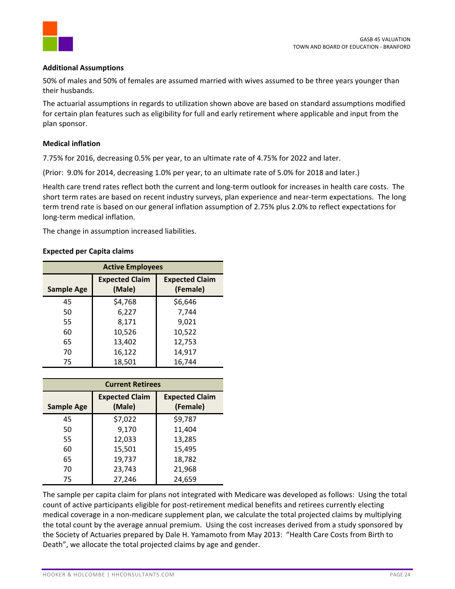

#### **Additional Assumptions**

50% of males and 50% of females are assumed married with wives assumed to be three years younger than their husbands.

The actuarial assumptions in regards to utilization shown above are based on standard assumptions modified for certain plan features such as eligibility for full and early retirement where applicable and input from the plan sponsor.

## **Medical inflation**

7.75% for 2016, decreasing 0.5% per year, to an ultimate rate of 4.75% for 2022 and later.

(Prior: 9.0% for 2014, decreasing 1.0% per year, to an ultimate rate of 5.0% for 2018 and later.)

Health care trend rates reflect both the current and long‐term outlook for increases in health care costs. The short term rates are based on recent industry surveys, plan experience and near-term expectations. The long term trend rate is based on our general inflation assumption of 2.75% plus 2.0% to reflect expectations for long‐term medical inflation.

The change in assumption increased liabilities.

#### **Expected per Capita claims**

| <b>Active Employees</b> |                                 |                                   |  |
|-------------------------|---------------------------------|-----------------------------------|--|
| <b>Sample Age</b>       | <b>Expected Claim</b><br>(Male) | <b>Expected Claim</b><br>(Female) |  |
| 45                      | \$4,768                         | \$6,646                           |  |
| 50                      | 6,227                           | 7,744                             |  |
| 55                      | 8,171                           | 9,021                             |  |
| 60                      | 10,526                          | 10,522                            |  |
| 65                      | 13,402                          | 12,753                            |  |
| 70                      | 16,122                          | 14,917                            |  |
| 75                      | 18,501                          | 16,744                            |  |

| <b>Current Retirees</b> |                                 |                                   |  |
|-------------------------|---------------------------------|-----------------------------------|--|
| <b>Sample Age</b>       | <b>Expected Claim</b><br>(Male) | <b>Expected Claim</b><br>(Female) |  |
| 45                      | \$7,022                         | \$9,787                           |  |
| 50                      | 9,170                           | 11,404                            |  |
| 55                      | 12,033                          | 13,285                            |  |
| 60                      | 15,501                          | 15,495                            |  |
| 65                      | 19,737                          | 18,782                            |  |
| 70                      | 23,743                          | 21,968                            |  |
| 75                      | 27,246                          | 24,659                            |  |

The sample per capita claim for plans not integrated with Medicare was developed as follows: Using the total count of active participants eligible for post-retirement medical benefits and retirees currently electing medical coverage in a non‐medicare supplement plan, we calculate the total projected claims by multiplying the total count by the average annual premium. Using the cost increases derived from a study sponsored by the Society of Actuaries prepared by Dale H. Yamamoto from May 2013: "Health Care Costs from Birth to Death", we allocate the total projected claims by age and gender.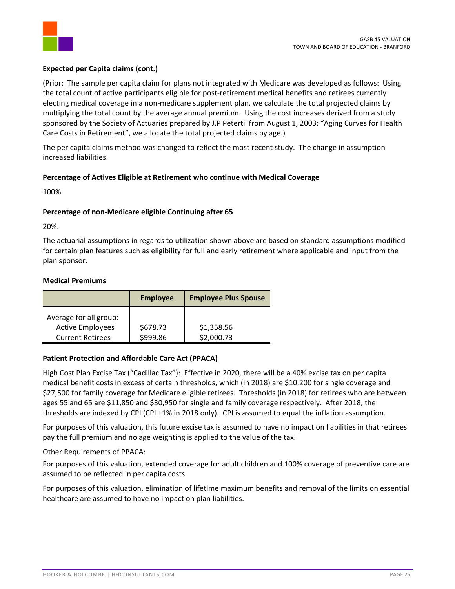

## **Expected per Capita claims (cont.)**

(Prior: The sample per capita claim for plans not integrated with Medicare was developed as follows: Using the total count of active participants eligible for post-retirement medical benefits and retirees currently electing medical coverage in a non-medicare supplement plan, we calculate the total projected claims by multiplying the total count by the average annual premium. Using the cost increases derived from a study sponsored by the Society of Actuaries prepared by J.P Petertil from August 1, 2003: "Aging Curves for Health Care Costs in Retirement", we allocate the total projected claims by age.)

The per capita claims method was changed to reflect the most recent study. The change in assumption increased liabilities.

## **Percentage of Actives Eligible at Retirement who continue with Medical Coverage**

100%.

## **Percentage of non‐Medicare eligible Continuing after 65**

20%.

The actuarial assumptions in regards to utilization shown above are based on standard assumptions modified for certain plan features such as eligibility for full and early retirement where applicable and input from the plan sponsor.

## **Medical Premiums**

|                                                                              | <b>Employee</b>      | <b>Employee Plus Spouse</b> |
|------------------------------------------------------------------------------|----------------------|-----------------------------|
| Average for all group:<br><b>Active Employees</b><br><b>Current Retirees</b> | \$678.73<br>\$999.86 | \$1,358.56<br>\$2,000.73    |

## **Patient Protection and Affordable Care Act (PPACA)**

High Cost Plan Excise Tax ("Cadillac Tax"): Effective in 2020, there will be a 40% excise tax on per capita medical benefit costs in excess of certain thresholds, which (in 2018) are \$10,200 for single coverage and \$27,500 for family coverage for Medicare eligible retirees. Thresholds (in 2018) for retirees who are between ages 55 and 65 are \$11,850 and \$30,950 for single and family coverage respectively. After 2018, the thresholds are indexed by CPI (CPI +1% in 2018 only). CPI is assumed to equal the inflation assumption.

For purposes of this valuation, this future excise tax is assumed to have no impact on liabilities in that retirees pay the full premium and no age weighting is applied to the value of the tax.

Other Requirements of PPACA:

For purposes of this valuation, extended coverage for adult children and 100% coverage of preventive care are assumed to be reflected in per capita costs.

For purposes of this valuation, elimination of lifetime maximum benefits and removal of the limits on essential healthcare are assumed to have no impact on plan liabilities.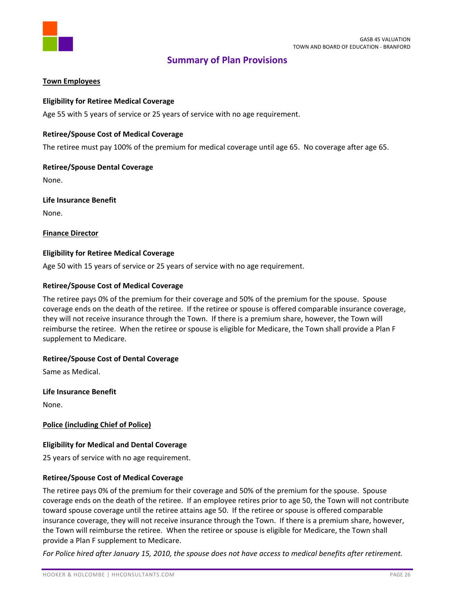

## **Summary of Plan Provisions**

## **Town Employees**

## **Eligibility for Retiree Medical Coverage**

Age 55 with 5 years of service or 25 years of service with no age requirement.

#### **Retiree/Spouse Cost of Medical Coverage**

The retiree must pay 100% of the premium for medical coverage until age 65. No coverage after age 65.

#### **Retiree/Spouse Dental Coverage**

None.

**Life Insurance Benefit** None.

#### **Finance Director**

#### **Eligibility for Retiree Medical Coverage**

Age 50 with 15 years of service or 25 years of service with no age requirement.

#### **Retiree/Spouse Cost of Medical Coverage**

The retiree pays 0% of the premium for their coverage and 50% of the premium for the spouse. Spouse coverage ends on the death of the retiree. If the retiree or spouse is offered comparable insurance coverage, they will not receive insurance through the Town. If there is a premium share, however, the Town will reimburse the retiree. When the retiree or spouse is eligible for Medicare, the Town shall provide a Plan F supplement to Medicare.

## **Retiree/Spouse Cost of Dental Coverage**

Same as Medical.

**Life Insurance Benefit**

None.

**Police (including Chief of Police)**

## **Eligibility for Medical and Dental Coverage**

25 years of service with no age requirement.

## **Retiree/Spouse Cost of Medical Coverage**

The retiree pays 0% of the premium for their coverage and 50% of the premium for the spouse. Spouse coverage ends on the death of the retiree. If an employee retires prior to age 50, the Town will not contribute toward spouse coverage until the retiree attains age 50. If the retiree or spouse is offered comparable insurance coverage, they will not receive insurance through the Town. If there is a premium share, however, the Town will reimburse the retiree. When the retiree or spouse is eligible for Medicare, the Town shall provide a Plan F supplement to Medicare.

For Police hired after January 15, 2010, the spouse does not have access to medical benefits after retirement.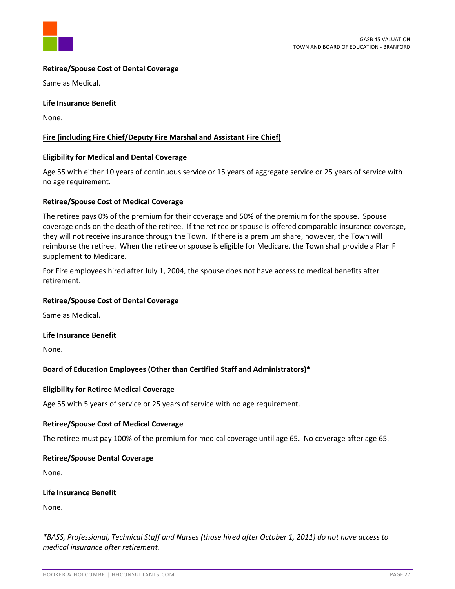

## **Retiree/Spouse Cost of Dental Coverage**

Same as Medical.

## **Life Insurance Benefit**

None.

## **Fire (including Fire Chief/Deputy Fire Marshal and Assistant Fire Chief)**

#### **Eligibility for Medical and Dental Coverage**

Age 55 with either 10 years of continuous service or 15 years of aggregate service or 25 years of service with no age requirement.

#### **Retiree/Spouse Cost of Medical Coverage**

The retiree pays 0% of the premium for their coverage and 50% of the premium for the spouse. Spouse coverage ends on the death of the retiree. If the retiree or spouse is offered comparable insurance coverage, they will not receive insurance through the Town. If there is a premium share, however, the Town will reimburse the retiree. When the retiree or spouse is eligible for Medicare, the Town shall provide a Plan F supplement to Medicare.

For Fire employees hired after July 1, 2004, the spouse does not have access to medical benefits after retirement.

#### **Retiree/Spouse Cost of Dental Coverage**

Same as Medical.

#### **Life Insurance Benefit**

None.

## **Board of Education Employees (Other than Certified Staff and Administrators)\***

#### **Eligibility for Retiree Medical Coverage**

Age 55 with 5 years of service or 25 years of service with no age requirement.

## **Retiree/Spouse Cost of Medical Coverage**

The retiree must pay 100% of the premium for medical coverage until age 65. No coverage after age 65.

## **Retiree/Spouse Dental Coverage**

None.

#### **Life Insurance Benefit**

None.

*\*BASS, Professional, Technical Staff and Nurses (those hired after October 1, 2011) do not have access to medical insurance after retirement.*